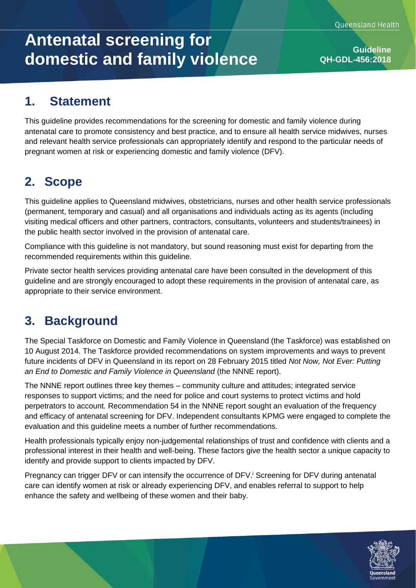# **Antenatal screening for domestic and family violence Guideline Guideline**

**QH-GDL-456:2018**

### **1. Statement**

This guideline provides recommendations for the screening for domestic and family violence during antenatal care to promote consistency and best practice, and to ensure all health service midwives, nurses and relevant health service professionals can appropriately identify and respond to the particular needs of pregnant women at risk or experiencing domestic and family violence (DFV).

### **2. Scope**

This guideline applies to Queensland midwives, obstetricians, nurses and other health service professionals (permanent, temporary and casual) and all organisations and individuals acting as its agents (including visiting medical officers and other partners, contractors, consultants, volunteers and students/trainees) in the public health sector involved in the provision of antenatal care.

Compliance with this guideline is not mandatory, but sound reasoning must exist for departing from the recommended requirements within this guideline.

Private sector health services providing antenatal care have been consulted in the development of this guideline and are strongly encouraged to adopt these requirements in the provision of antenatal care, as appropriate to their service environment.

# **3. Background**

The Special Taskforce on Domestic and Family Violence in Queensland (the Taskforce) was established on 10 August 2014. The Taskforce provided recommendations on system improvements and ways to prevent future incidents of DFV in Queensland in its report on 28 February 2015 titled *Not Now, Not Ever: Putting an End to Domestic and Family Violence in Queensland* (the NNNE report).

The NNNE report outlines three key themes – community culture and attitudes; integrated service responses to support victims; and the need for police and court systems to protect victims and hold perpetrators to account. Recommendation 54 in the NNNE report sought an evaluation of the frequency and efficacy of antenatal screening for DFV. Independent consultants KPMG were engaged to complete the evaluation and this guideline meets a number of further recommendations.

Health professionals typically enjoy non-judgemental relationships of trust and confidence with clients and a professional interest in their health and well-being. These factors give the health sector a unique capacity to identify and provide support to clients impacted by DFV.

Pregnancy can trigger DFV or can intensify the occurrence of DFV.<sup>†</sup> Screening for DFV during antenatal care can identify women at risk or already experiencing DFV, and enables referral to support to help enhance the safety and wellbeing of these women and their baby.

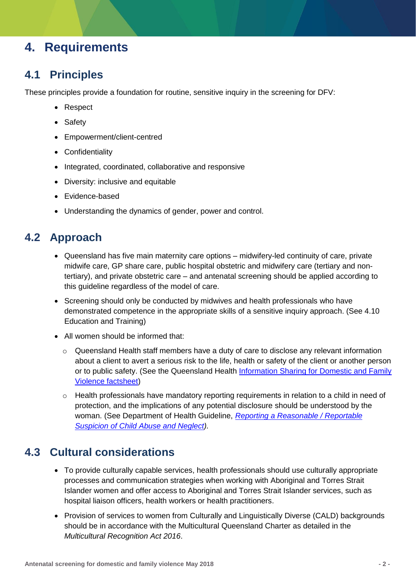### **4. Requirements**

#### **4.1 Principles**

These principles provide a foundation for routine, sensitive inquiry in the screening for DFV:

- Respect
- Safety
- Empowerment/client-centred
- Confidentiality
- Integrated, coordinated, collaborative and responsive
- Diversity: inclusive and equitable
- Evidence-based
- Understanding the dynamics of gender, power and control.

#### **4.2 Approach**

- Queensland has five main maternity care options midwifery-led continuity of care, private midwife care, GP share care, public hospital obstetric and midwifery care (tertiary and nontertiary), and private obstetric care – and antenatal screening should be applied according to this guideline regardless of the model of care.
- Screening should only be conducted by midwives and health professionals who have demonstrated competence in the appropriate skills of a sensitive inquiry approach. (See 4.10 Education and Training)
- All women should be informed that:
	- $\circ$  Queensland Health staff members have a duty of care to disclose any relevant information about a client to avert a serious risk to the life, health or safety of the client or another person or to public safety. (See the Queensland Health [Information Sharing for Domestic and Family](https://www.health.qld.gov.au/__data/assets/pdf_file/0038/689429/factsheet-dfv-info-sharing.pdf) [Violence factsheet\)](https://www.health.qld.gov.au/__data/assets/pdf_file/0038/689429/factsheet-dfv-info-sharing.pdf)
	- $\circ$  Health professionals have mandatory reporting requirements in relation to a child in need of protection, and the implications of any potential disclosure should be understood by the woman. (See Department of Health Guideline, *[Reporting a Reasonable / Reportable](https://qheps.health.qld.gov.au/csu/policy) [Suspicion of Child Abuse and Neglect\)](https://qheps.health.qld.gov.au/csu/policy).*

#### **4.3 Cultural considerations**

- To provide culturally capable services, health professionals should use culturally appropriate processes and communication strategies when working with Aboriginal and Torres Strait Islander women and offer access to Aboriginal and Torres Strait Islander services, such as hospital liaison officers, health workers or health practitioners.
- Provision of services to women from Culturally and Linguistically Diverse (CALD) backgrounds should be in accordance with the Multicultural Queensland Charter as detailed in the *Multicultural Recognition Act 2016*.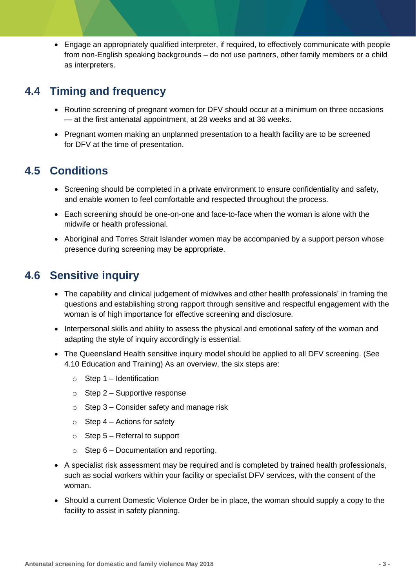• Engage an appropriately qualified interpreter, if required, to effectively communicate with people from non-English speaking backgrounds – do not use partners, other family members or a child as interpreters.

#### **4.4 Timing and frequency**

- Routine screening of pregnant women for DFV should occur at a minimum on three occasions — at the first antenatal appointment, at 28 weeks and at 36 weeks.
- Pregnant women making an unplanned presentation to a health facility are to be screened for DFV at the time of presentation.

#### **4.5 Conditions**

- Screening should be completed in a private environment to ensure confidentiality and safety, and enable women to feel comfortable and respected throughout the process.
- Each screening should be one-on-one and face-to-face when the woman is alone with the midwife or health professional.
- Aboriginal and Torres Strait Islander women may be accompanied by a support person whose presence during screening may be appropriate.

#### **4.6 Sensitive inquiry**

- The capability and clinical judgement of midwives and other health professionals' in framing the questions and establishing strong rapport through sensitive and respectful engagement with the woman is of high importance for effective screening and disclosure.
- Interpersonal skills and ability to assess the physical and emotional safety of the woman and adapting the style of inquiry accordingly is essential.
- The Queensland Health sensitive inquiry model should be applied to all DFV screening. (See 4.10 Education and Training) As an overview, the six steps are:
	- $\circ$  Step 1 Identification
	- $\circ$  Step 2 Supportive response
	- $\circ$  Step 3 Consider safety and manage risk
	- $\circ$  Step 4 Actions for safety
	- $\circ$  Step 5 Referral to support
	- $\circ$  Step 6 Documentation and reporting.
- A specialist risk assessment may be required and is completed by trained health professionals, such as social workers within your facility or specialist DFV services, with the consent of the woman.
- Should a current Domestic Violence Order be in place, the woman should supply a copy to the facility to assist in safety planning.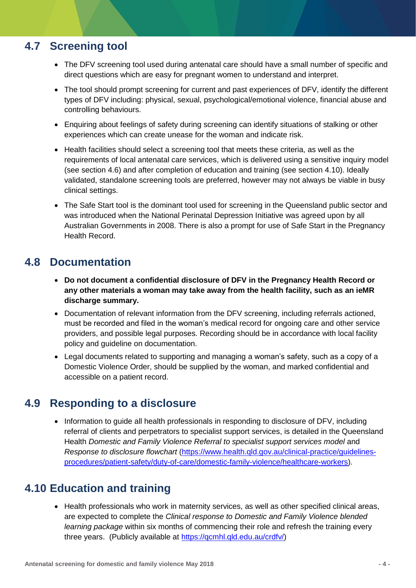#### **4.7 Screening tool**

- The DFV screening tool used during antenatal care should have a small number of specific and direct questions which are easy for pregnant women to understand and interpret.
- The tool should prompt screening for current and past experiences of DFV, identify the different types of DFV including: physical, sexual, psychological/emotional violence, financial abuse and controlling behaviours.
- Enquiring about feelings of safety during screening can identify situations of stalking or other experiences which can create unease for the woman and indicate risk.
- Health facilities should select a screening tool that meets these criteria, as well as the requirements of local antenatal care services, which is delivered using a sensitive inquiry model (see section 4.6) and after completion of education and training (see section 4.10). Ideally validated, standalone screening tools are preferred, however may not always be viable in busy clinical settings.
- The Safe Start tool is the dominant tool used for screening in the Queensland public sector and was introduced when the National Perinatal Depression Initiative was agreed upon by all Australian Governments in 2008. There is also a prompt for use of Safe Start in the Pregnancy Health Record.

#### **4.8 Documentation**

- **Do not document a confidential disclosure of DFV in the Pregnancy Health Record or any other materials a woman may take away from the health facility, such as an ieMR discharge summary.**
- Documentation of relevant information from the DFV screening, including referrals actioned, must be recorded and filed in the woman's medical record for ongoing care and other service providers, and possible legal purposes. Recording should be in accordance with local facility policy and guideline on documentation.
- Legal documents related to supporting and managing a woman's safety, such as a copy of a Domestic Violence Order, should be supplied by the woman, and marked confidential and accessible on a patient record.

#### **4.9 Responding to a disclosure**

• Information to guide all health professionals in responding to disclosure of DFV, including referral of clients and perpetrators to specialist support services, is detailed in the Queensland Health *Domestic and Family Violence Referral to specialist support services model* and *Response to disclosure flowchart* [\(https://www.health.qld.gov.au/clinical-practice/guidelines](https://www.health.qld.gov.au/clinical-practice/guidelines-procedures/patient-safety/duty-of-care/domestic-family-violence/healthcare-workers)[procedures/patient-safety/duty-of-care/domestic-family-violence/healthcare-workers\)](https://www.health.qld.gov.au/clinical-practice/guidelines-procedures/patient-safety/duty-of-care/domestic-family-violence/healthcare-workers).

#### **4.10 Education and training**

• Health professionals who work in maternity services, as well as other specified clinical areas, are expected to complete the *Clinical response to Domestic and Family Violence blended learning package* within six months of commencing their role and refresh the training every three years. (Publicly available at [https://qcmhl.qld.edu.au/crdfv/\)](https://qcmhl.qld.edu.au/crdfv/)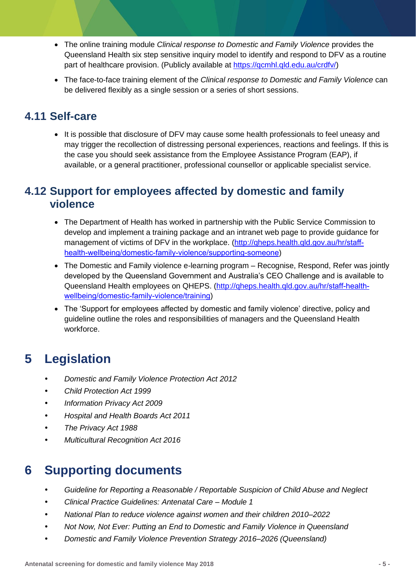- The online training module *Clinical response to Domestic and Family Violence* provides the Queensland Health six step sensitive inquiry model to identify and respond to DFV as a routine part of healthcare provision. (Publicly available at [https://qcmhl.qld.edu.au/crdfv/\)](https://qcmhl.qld.edu.au/crdfv/)
- The face-to-face training element of the *Clinical response to Domestic and Family Violence* can be delivered flexibly as a single session or a series of short sessions.

#### **4.11 Self-care**

• It is possible that disclosure of DFV may cause some health professionals to feel uneasy and may trigger the recollection of distressing personal experiences, reactions and feelings. If this is the case you should seek assistance from the Employee Assistance Program (EAP), if available, or a general practitioner, professional counsellor or applicable specialist service.

#### **4.12 Support for employees affected by domestic and family violence**

- The Department of Health has worked in partnership with the Public Service Commission to develop and implement a training package and an intranet web page to provide guidance for management of victims of DFV in the workplace. [\(http://qheps.health.qld.gov.au/hr/](https://qheps.health.qld.gov.au/hr/staff-health-wellbeing/domestic-family-violence/supporting-someone)staff[health-wellbeing/domestic-family-violence/supporting-someone](https://qheps.health.qld.gov.au/hr/staff-health-wellbeing/domestic-family-violence/supporting-someone))
- The Domestic and Family violence e-learning program Recognise, Respond, Refer was jointly developed by the Queensland Government and Australia's CEO Challenge and is available to Queensland Health employees on QHEPS. [\(http://qheps.health.qld.gov.au/hr/](https://qheps.health.qld.gov.au/hr/staff-health-wellbeing/domestic-family-violence/training)staff-health[wellbeing/domestic-family-violence/training](https://qheps.health.qld.gov.au/hr/staff-health-wellbeing/domestic-family-violence/training))
- The 'Support for employees affected by domestic and family violence' directive, policy and guideline outline the roles and responsibilities of managers and the Queensland Health workforce.

### **5 Legislation**

- *Domestic and Family Violence Protection Act 2012*
- *Child Protection Act 1999*
- *Information Privacy Act 2009*
- *Hospital and Health Boards Act 2011*
- *The Privacy Act 1988*
- *Multicultural Recognition Act 2016*

### **6 Supporting documents**

- *Guideline for Reporting a Reasonable / Reportable Suspicion of Child Abuse and Neglect*
- *Clinical Practice Guidelines: Antenatal Care – Module 1*
- *National Plan to reduce violence against women and their children 2010–2022*
- *Not Now, Not Ever: Putting an End to Domestic and Family Violence in Queensland*
- *Domestic and Family Violence Prevention Strategy 2016–2026 (Queensland)*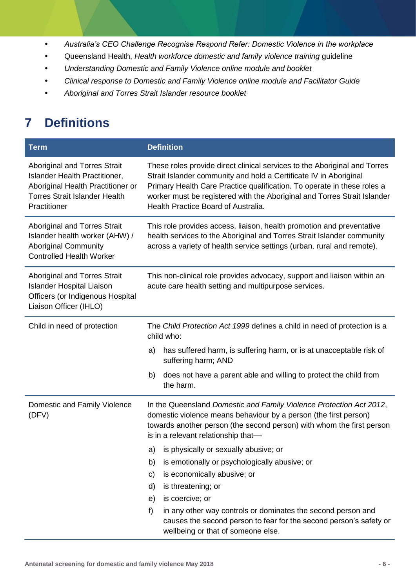- *Australia's CEO Challenge Recognise Respond Refer: Domestic Violence in the workplace*
- Queensland Health, *Health workforce domestic and family violence training* guideline
- *Understanding Domestic and Family Violence online module and booklet*
- *Clinical response to Domestic and Family Violence online module and Facilitator Guide*
- *Aboriginal and Torres Strait Islander resource booklet*

# **7 Definitions**

| <b>Term</b>                                                                                                                                                | <b>Definition</b>                                                                                                                                                                                                                                                                                                                            |
|------------------------------------------------------------------------------------------------------------------------------------------------------------|----------------------------------------------------------------------------------------------------------------------------------------------------------------------------------------------------------------------------------------------------------------------------------------------------------------------------------------------|
| Aboriginal and Torres Strait<br>Islander Health Practitioner,<br>Aboriginal Health Practitioner or<br><b>Torres Strait Islander Health</b><br>Practitioner | These roles provide direct clinical services to the Aboriginal and Torres<br>Strait Islander community and hold a Certificate IV in Aboriginal<br>Primary Health Care Practice qualification. To operate in these roles a<br>worker must be registered with the Aboriginal and Torres Strait Islander<br>Health Practice Board of Australia. |
| Aboriginal and Torres Strait<br>Islander health worker (AHW) /<br><b>Aboriginal Community</b><br><b>Controlled Health Worker</b>                           | This role provides access, liaison, health promotion and preventative<br>health services to the Aboriginal and Torres Strait Islander community<br>across a variety of health service settings (urban, rural and remote).                                                                                                                    |
| Aboriginal and Torres Strait<br><b>Islander Hospital Liaison</b><br>Officers (or Indigenous Hospital<br>Liaison Officer (IHLO)                             | This non-clinical role provides advocacy, support and liaison within an<br>acute care health setting and multipurpose services.                                                                                                                                                                                                              |
| Child in need of protection                                                                                                                                | The Child Protection Act 1999 defines a child in need of protection is a<br>child who:<br>has suffered harm, is suffering harm, or is at unacceptable risk of<br>a)<br>suffering harm; AND<br>does not have a parent able and willing to protect the child from<br>b)                                                                        |
|                                                                                                                                                            | the harm.                                                                                                                                                                                                                                                                                                                                    |
| Domestic and Family Violence<br>(DFV)                                                                                                                      | In the Queensland Domestic and Family Violence Protection Act 2012,<br>domestic violence means behaviour by a person (the first person)<br>towards another person (the second person) with whom the first person<br>is in a relevant relationship that-                                                                                      |
|                                                                                                                                                            | is physically or sexually abusive; or<br>a)                                                                                                                                                                                                                                                                                                  |
|                                                                                                                                                            | is emotionally or psychologically abusive; or<br>b)                                                                                                                                                                                                                                                                                          |
|                                                                                                                                                            | is economically abusive; or<br>C)                                                                                                                                                                                                                                                                                                            |
|                                                                                                                                                            | is threatening; or<br>d)<br>is coercive; or                                                                                                                                                                                                                                                                                                  |
|                                                                                                                                                            | e)<br>f<br>in any other way controls or dominates the second person and                                                                                                                                                                                                                                                                      |
|                                                                                                                                                            | causes the second person to fear for the second person's safety or<br>wellbeing or that of someone else.                                                                                                                                                                                                                                     |